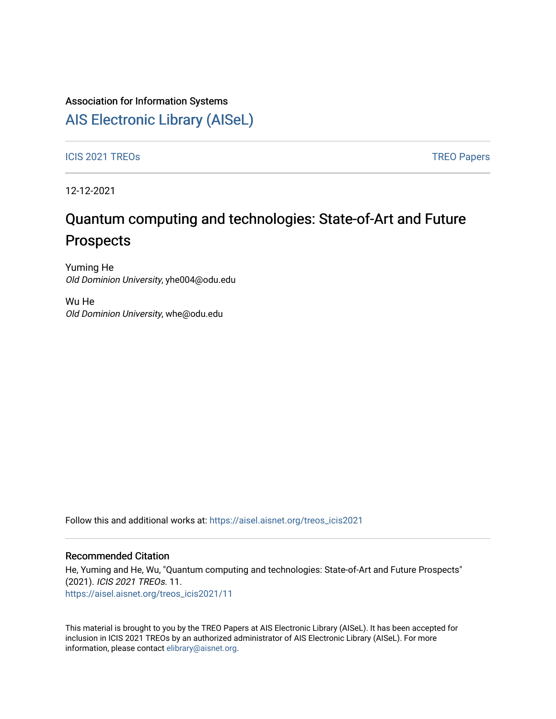### Association for Information Systems

## [AIS Electronic Library \(AISeL\)](https://aisel.aisnet.org/)

ICIS 2021 TREOS Notes that the contract of the contract of the contract of the contract of the contract of the contract of the contract of the contract of the contract of the contract of the contract of the contract of the

12-12-2021

# Quantum computing and technologies: State-of-Art and Future Prospects

Yuming He Old Dominion University, yhe004@odu.edu

Wu He Old Dominion University, whe@odu.edu

Follow this and additional works at: [https://aisel.aisnet.org/treos\\_icis2021](https://aisel.aisnet.org/treos_icis2021?utm_source=aisel.aisnet.org%2Ftreos_icis2021%2F11&utm_medium=PDF&utm_campaign=PDFCoverPages) 

#### Recommended Citation

He, Yuming and He, Wu, "Quantum computing and technologies: State-of-Art and Future Prospects" (2021). ICIS 2021 TREOs. 11. [https://aisel.aisnet.org/treos\\_icis2021/11](https://aisel.aisnet.org/treos_icis2021/11?utm_source=aisel.aisnet.org%2Ftreos_icis2021%2F11&utm_medium=PDF&utm_campaign=PDFCoverPages) 

This material is brought to you by the TREO Papers at AIS Electronic Library (AISeL). It has been accepted for inclusion in ICIS 2021 TREOs by an authorized administrator of AIS Electronic Library (AISeL). For more information, please contact [elibrary@aisnet.org.](mailto:elibrary@aisnet.org%3E)